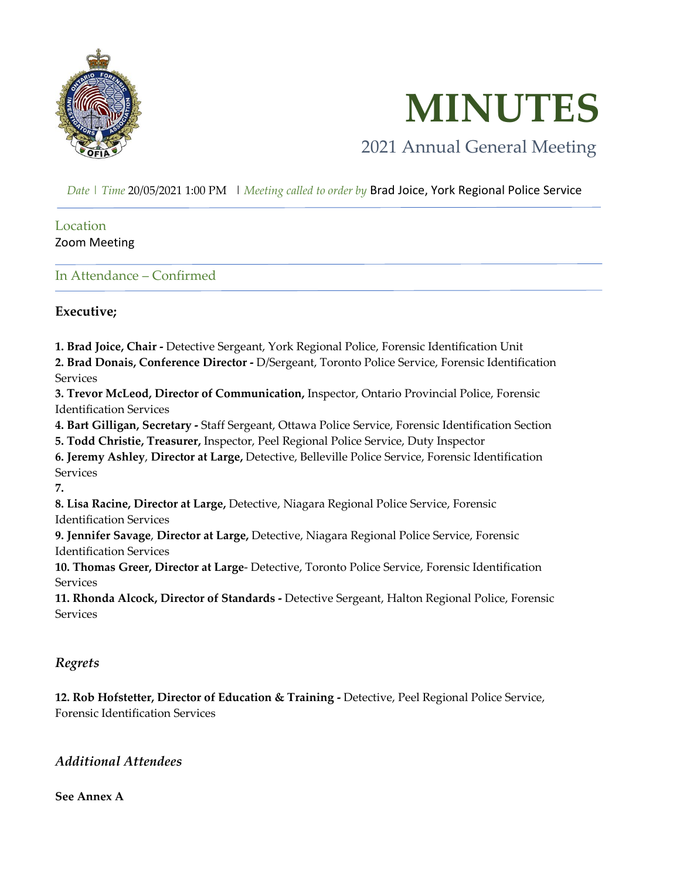

 **MINUTES**

# 2021 Annual General Meeting

 *Date | Time* 20/05/2021 1:00 PM | *Meeting called to order by* Brad Joice, York Regional Police Service

#### Location Zoom Meeting

In Attendance – Confirmed

### **Executive;**

**1. Brad Joice, Chair -** Detective Sergeant, York Regional Police, Forensic Identification Unit

**2. Brad Donais, Conference Director -** D/Sergeant, Toronto Police Service, Forensic Identification Services

**3. Trevor McLeod, Director of Communication,** Inspector, Ontario Provincial Police, Forensic Identification Services

**4. Bart Gilligan, Secretary -** Staff Sergeant, Ottawa Police Service, Forensic Identification Section

**5. Todd Christie, Treasurer,** Inspector, Peel Regional Police Service, Duty Inspector

**6. Jeremy Ashley**, **Director at Large,** Detective, Belleville Police Service, Forensic Identification **Services** 

**7.**

**8. Lisa Racine, Director at Large,** Detective, Niagara Regional Police Service, Forensic Identification Services

**9. Jennifer Savage**, **Director at Large,** Detective, Niagara Regional Police Service, Forensic Identification Services

**10. Thomas Greer, Director at Large**- Detective, Toronto Police Service, Forensic Identification Services

**11. Rhonda Alcock, Director of Standards -** Detective Sergeant, Halton Regional Police, Forensic **Services** 

### *Regrets*

**12. Rob Hofstetter, Director of Education & Training -** Detective, Peel Regional Police Service, Forensic Identification Services

### *Additional Attendees*

**See Annex A**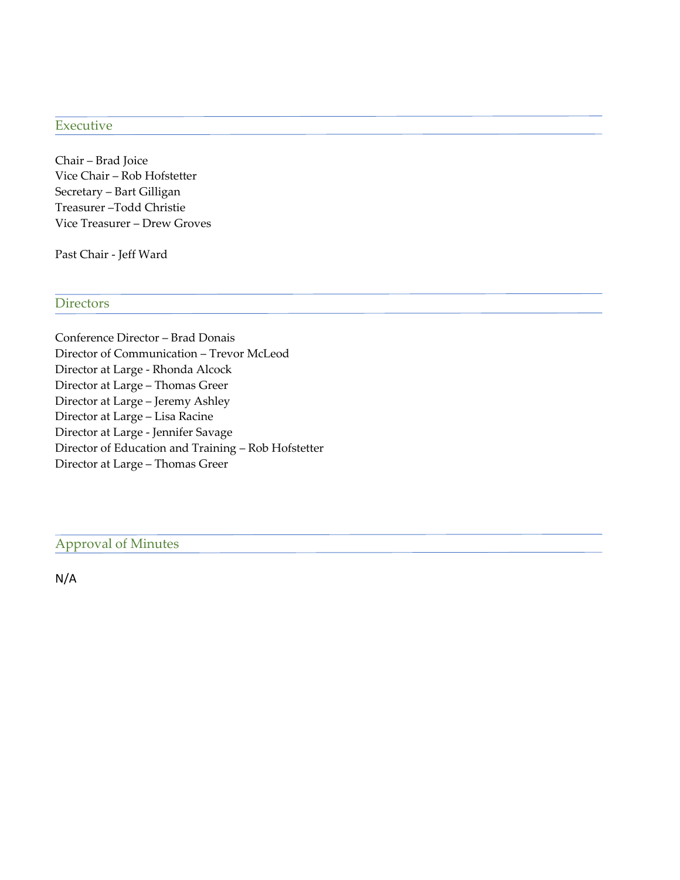#### Executive

Chair – Brad Joice Vice Chair – Rob Hofstetter Secretary – Bart Gilligan Treasurer –Todd Christie Vice Treasurer – Drew Groves

Past Chair - Jeff Ward

#### **Directors**

Conference Director – Brad Donais Director of Communication – Trevor McLeod Director at Large - Rhonda Alcock Director at Large – Thomas Greer Director at Large – Jeremy Ashley Director at Large – Lisa Racine Director at Large - Jennifer Savage Director of Education and Training – Rob Hofstetter Director at Large – Thomas Greer

Approval of Minutes

N/A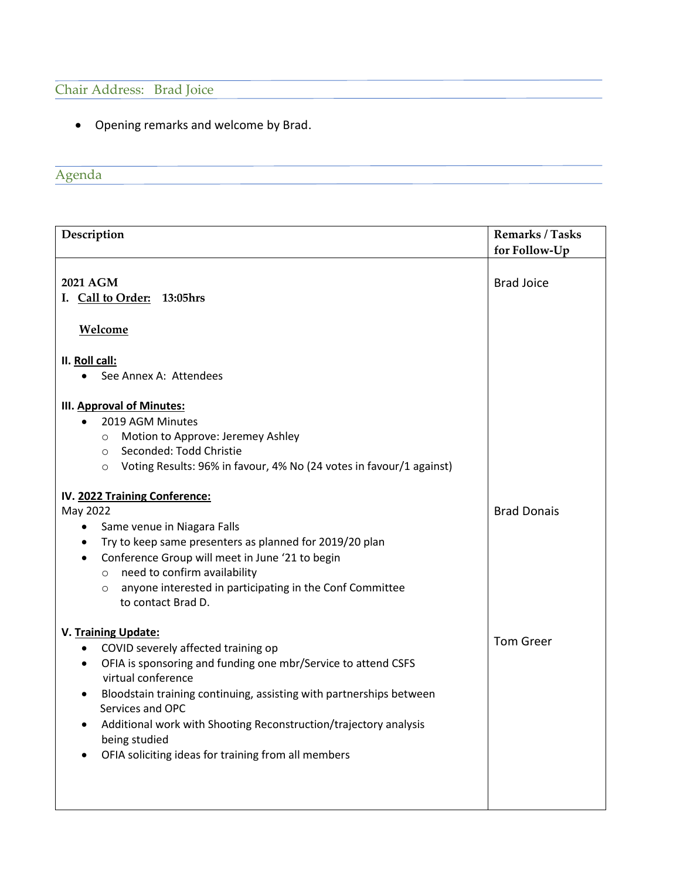## Chair Address: Brad Joice

• Opening remarks and welcome by Brad.

# Agenda

| Description                                                                                                                                                                                                                                                                                                                                                                                                                                                                                                                                                                          | <b>Remarks / Tasks</b><br>for Follow-Up |  |
|--------------------------------------------------------------------------------------------------------------------------------------------------------------------------------------------------------------------------------------------------------------------------------------------------------------------------------------------------------------------------------------------------------------------------------------------------------------------------------------------------------------------------------------------------------------------------------------|-----------------------------------------|--|
| 2021 AGM<br>I. Call to Order: 13:05hrs<br>Welcome                                                                                                                                                                                                                                                                                                                                                                                                                                                                                                                                    | <b>Brad Joice</b>                       |  |
| II. Roll call:<br>See Annex A: Attendees<br>$\bullet$                                                                                                                                                                                                                                                                                                                                                                                                                                                                                                                                |                                         |  |
| <b>III. Approval of Minutes:</b><br>2019 AGM Minutes<br>$\bullet$<br>Motion to Approve: Jeremey Ashley<br>$\circ$<br>Seconded: Todd Christie<br>$\circ$<br>Voting Results: 96% in favour, 4% No (24 votes in favour/1 against)<br>$\circ$<br>IV. 2022 Training Conference:<br>May 2022<br>Same venue in Niagara Falls<br>٠<br>Try to keep same presenters as planned for 2019/20 plan<br>$\bullet$<br>Conference Group will meet in June '21 to begin<br>$\bullet$<br>need to confirm availability<br>$\circ$<br>anyone interested in participating in the Conf Committee<br>$\circ$ | <b>Brad Donais</b>                      |  |
| to contact Brad D.<br>V. Training Update:<br>COVID severely affected training op<br>$\bullet$<br>OFIA is sponsoring and funding one mbr/Service to attend CSFS<br>$\bullet$<br>virtual conference<br>Bloodstain training continuing, assisting with partnerships between<br>$\bullet$<br>Services and OPC<br>Additional work with Shooting Reconstruction/trajectory analysis<br>being studied<br>OFIA soliciting ideas for training from all members                                                                                                                                | <b>Tom Greer</b>                        |  |
|                                                                                                                                                                                                                                                                                                                                                                                                                                                                                                                                                                                      |                                         |  |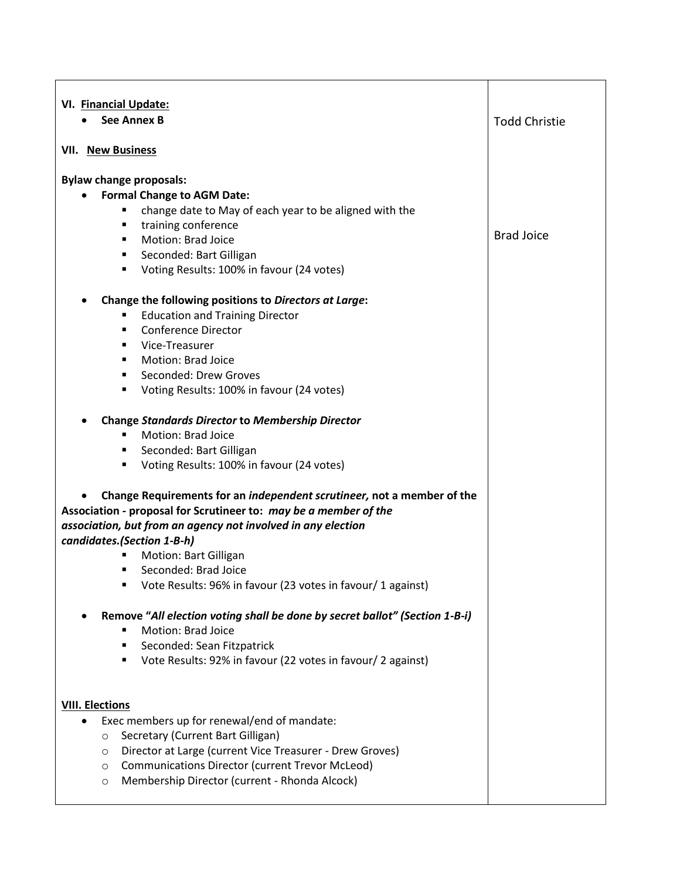| VI. Financial Update:<br><b>See Annex B</b>                                                                                                                                                                                                                                                                                                                                                                                                  | <b>Todd Christie</b> |  |  |
|----------------------------------------------------------------------------------------------------------------------------------------------------------------------------------------------------------------------------------------------------------------------------------------------------------------------------------------------------------------------------------------------------------------------------------------------|----------------------|--|--|
| <b>VII. New Business</b>                                                                                                                                                                                                                                                                                                                                                                                                                     |                      |  |  |
| <b>Bylaw change proposals:</b><br><b>Formal Change to AGM Date:</b><br>change date to May of each year to be aligned with the<br>training conference<br>٠<br>Motion: Brad Joice<br>٠<br>Seconded: Bart Gilligan<br>٠<br>Voting Results: 100% in favour (24 votes)<br>٠                                                                                                                                                                       | <b>Brad Joice</b>    |  |  |
| Change the following positions to Directors at Large:<br><b>Education and Training Director</b><br><b>Conference Director</b><br>$\blacksquare$<br>Vice-Treasurer<br>Motion: Brad Joice<br>п<br>Seconded: Drew Groves<br>п<br>Voting Results: 100% in favour (24 votes)<br>٠<br><b>Change Standards Director to Membership Director</b><br><b>Motion: Brad Joice</b><br>Seconded: Bart Gilligan<br>Voting Results: 100% in favour (24 votes) |                      |  |  |
| Change Requirements for an independent scrutineer, not a member of the<br>Association - proposal for Scrutineer to: may be a member of the<br>association, but from an agency not involved in any election<br>candidates. (Section 1-B-h)<br>Motion: Bart Gilligan<br>Seconded: Brad Joice<br>Vote Results: 96% in favour (23 votes in favour/ 1 against)                                                                                    |                      |  |  |
| Remove "All election voting shall be done by secret ballot" (Section 1-B-i)<br>Motion: Brad Joice<br>Seconded: Sean Fitzpatrick<br>٠<br>Vote Results: 92% in favour (22 votes in favour/ 2 against)<br>٠                                                                                                                                                                                                                                     |                      |  |  |
| <b>VIII. Elections</b><br>Exec members up for renewal/end of mandate:<br>Secretary (Current Bart Gilligan)<br>$\circ$<br>Director at Large (current Vice Treasurer - Drew Groves)<br>$\circ$<br><b>Communications Director (current Trevor McLeod)</b><br>$\circ$<br>Membership Director (current - Rhonda Alcock)<br>$\circ$                                                                                                                |                      |  |  |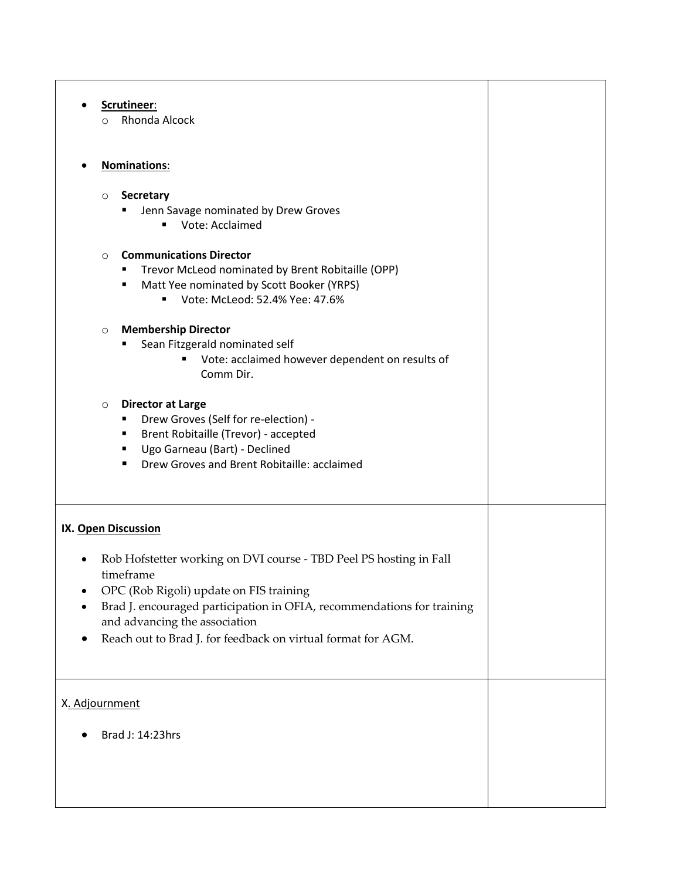| Scrutineer:                                                            |  |  |  |
|------------------------------------------------------------------------|--|--|--|
| Rhonda Alcock<br>$\circ$                                               |  |  |  |
|                                                                        |  |  |  |
| <b>Nominations:</b>                                                    |  |  |  |
|                                                                        |  |  |  |
| <b>Secretary</b><br>$\circ$                                            |  |  |  |
| Jenn Savage nominated by Drew Groves                                   |  |  |  |
| Vote: Acclaimed<br>٠                                                   |  |  |  |
|                                                                        |  |  |  |
| <b>Communications Director</b><br>$\circ$                              |  |  |  |
| Trevor McLeod nominated by Brent Robitaille (OPP)                      |  |  |  |
| Matt Yee nominated by Scott Booker (YRPS)                              |  |  |  |
| Vote: McLeod: 52.4% Yee: 47.6%<br>٠                                    |  |  |  |
| <b>Membership Director</b><br>$\circ$                                  |  |  |  |
| Sean Fitzgerald nominated self                                         |  |  |  |
| Vote: acclaimed however dependent on results of                        |  |  |  |
| Comm Dir.                                                              |  |  |  |
|                                                                        |  |  |  |
| <b>Director at Large</b><br>$\circ$                                    |  |  |  |
| Drew Groves (Self for re-election) -                                   |  |  |  |
| Brent Robitaille (Trevor) - accepted<br>٠                              |  |  |  |
| Ugo Garneau (Bart) - Declined                                          |  |  |  |
| Drew Groves and Brent Robitaille: acclaimed                            |  |  |  |
|                                                                        |  |  |  |
|                                                                        |  |  |  |
|                                                                        |  |  |  |
| IX. Open Discussion                                                    |  |  |  |
| Rob Hofstetter working on DVI course - TBD Peel PS hosting in Fall     |  |  |  |
| timeframe                                                              |  |  |  |
| OPC (Rob Rigoli) update on FIS training                                |  |  |  |
| Brad J. encouraged participation in OFIA, recommendations for training |  |  |  |
| and advancing the association                                          |  |  |  |
| Reach out to Brad J. for feedback on virtual format for AGM.<br>٠      |  |  |  |
|                                                                        |  |  |  |
|                                                                        |  |  |  |
|                                                                        |  |  |  |
| X. Adjournment                                                         |  |  |  |
|                                                                        |  |  |  |
| Brad J: 14:23hrs                                                       |  |  |  |
|                                                                        |  |  |  |
|                                                                        |  |  |  |
|                                                                        |  |  |  |
|                                                                        |  |  |  |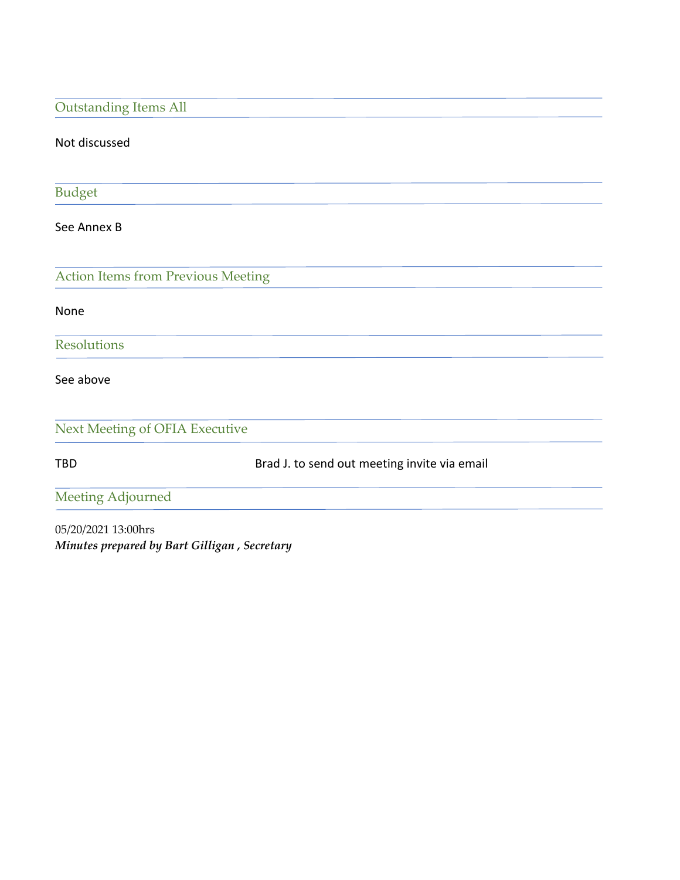| <b>Outstanding Items All</b>              |                                              |
|-------------------------------------------|----------------------------------------------|
| Not discussed                             |                                              |
|                                           |                                              |
| <b>Budget</b>                             |                                              |
| See Annex B                               |                                              |
|                                           |                                              |
| <b>Action Items from Previous Meeting</b> |                                              |
| None                                      |                                              |
| <b>Resolutions</b>                        |                                              |
| See above                                 |                                              |
| Next Meeting of OFIA Executive            |                                              |
| <b>TBD</b>                                | Brad J. to send out meeting invite via email |
| Meeting Adjourned                         |                                              |
| 05/20/2021 13:00hrs                       |                                              |
|                                           | Minutes prepared by Bart Gilligan, Secretary |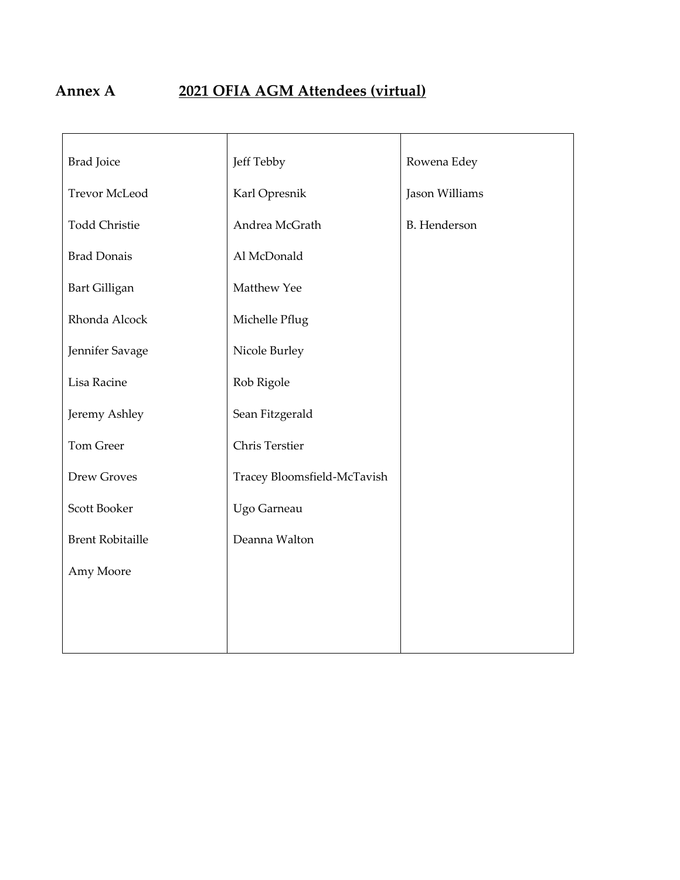# **Annex A 2021 OFIA AGM Attendees (virtual)**

| <b>Brad Joice</b>       | Jeff Tebby                  | Rowena Edey         |
|-------------------------|-----------------------------|---------------------|
| <b>Trevor McLeod</b>    | Karl Opresnik               | Jason Williams      |
| <b>Todd Christie</b>    | Andrea McGrath              | <b>B.</b> Henderson |
| <b>Brad Donais</b>      | Al McDonald                 |                     |
| <b>Bart Gilligan</b>    | Matthew Yee                 |                     |
| Rhonda Alcock           | Michelle Pflug              |                     |
| Jennifer Savage         | Nicole Burley               |                     |
| Lisa Racine             | Rob Rigole                  |                     |
| Jeremy Ashley           | Sean Fitzgerald             |                     |
| Tom Greer               | Chris Terstier              |                     |
| Drew Groves             | Tracey Bloomsfield-McTavish |                     |
| Scott Booker            | Ugo Garneau                 |                     |
| <b>Brent Robitaille</b> | Deanna Walton               |                     |
| Amy Moore               |                             |                     |
|                         |                             |                     |
|                         |                             |                     |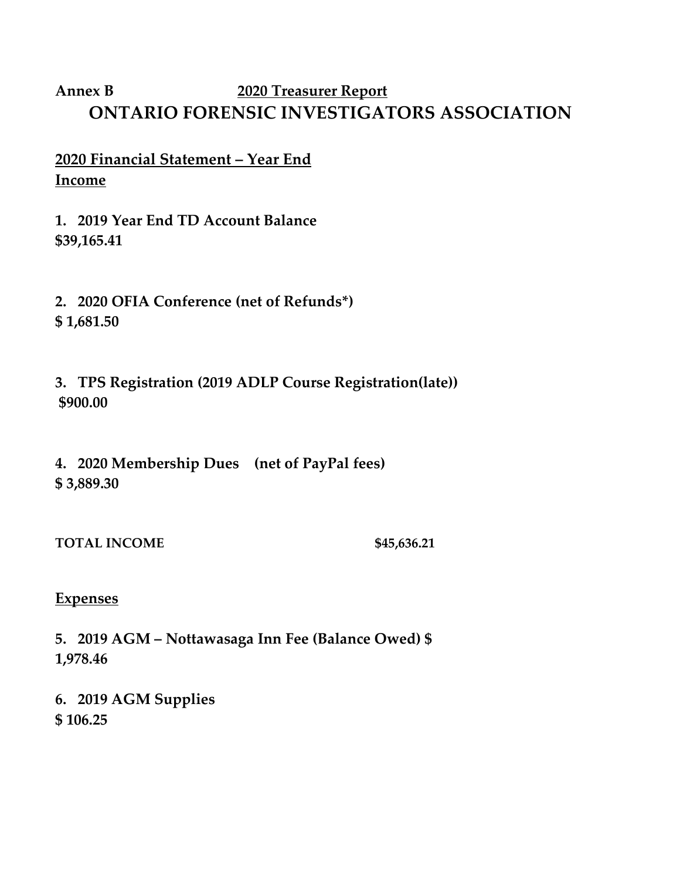# **Annex B 2020 Treasurer Report ONTARIO FORENSIC INVESTIGATORS ASSOCIATION**

- **2020 Financial Statement – Year End Income**
- **1. 2019 Year End TD Account Balance \$39,165.41**
- **2. 2020 OFIA Conference (net of Refunds\*) \$ 1,681.50**
- **3. TPS Registration (2019 ADLP Course Registration(late)) \$900.00**
- **4. 2020 Membership Dues (net of PayPal fees) \$ 3,889.30**
- **TOTAL INCOME \$45,636.21**

## **Expenses**

- **5. 2019 AGM – Nottawasaga Inn Fee (Balance Owed) \$ 1,978.46**
- **6. 2019 AGM Supplies \$ 106.25**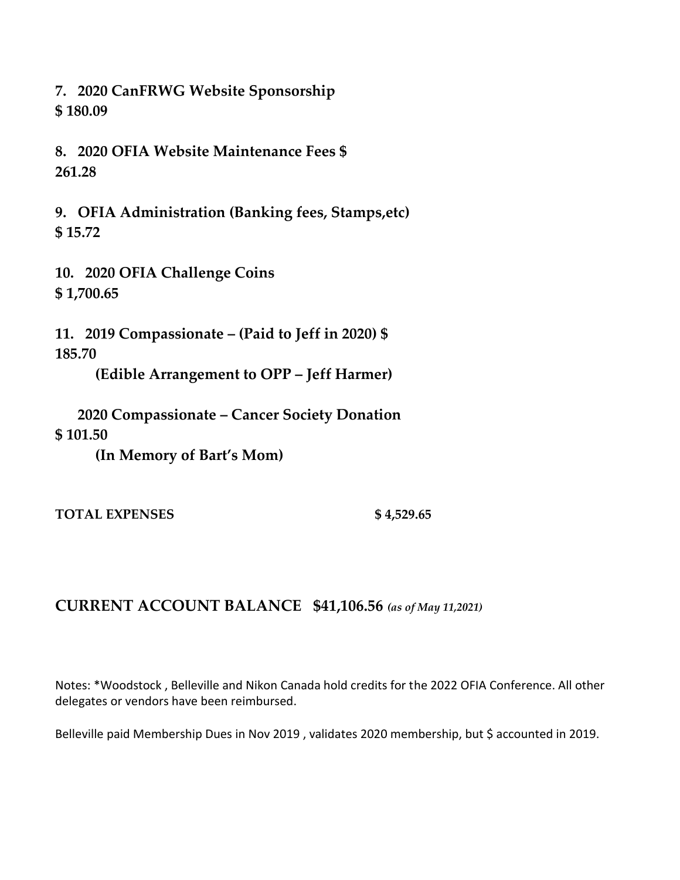**7. 2020 CanFRWG Website Sponsorship \$ 180.09**

**8. 2020 OFIA Website Maintenance Fees \$ 261.28**

**9. OFIA Administration (Banking fees, Stamps,etc) \$ 15.72**

**10. 2020 OFIA Challenge Coins \$ 1,700.65**

**11. 2019 Compassionate – (Paid to Jeff in 2020) \$ 185.70**

**(Edible Arrangement to OPP – Jeff Harmer)**

 **2020 Compassionate – Cancer Society Donation \$ 101.50**

**(In Memory of Bart's Mom)**

**TOTAL EXPENSES \$ 4,529.65**

## **CURRENT ACCOUNT BALANCE \$41,106.56** *(as of May 11,2021)*

Notes: \*Woodstock , Belleville and Nikon Canada hold credits for the 2022 OFIA Conference. All other delegates or vendors have been reimbursed.

Belleville paid Membership Dues in Nov 2019, validates 2020 membership, but \$ accounted in 2019.